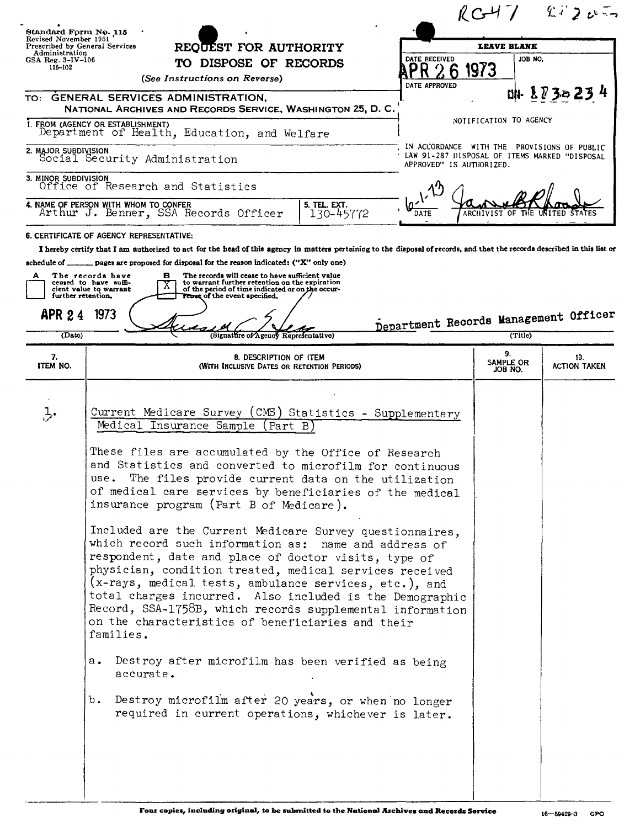| Standard Form No. 115                                   |                                                                                                                                                                                                                                                                                                                                                                                                                                                                                                                                                                                                                                                                                             |                                                                                                                          |                            | $RC47$ $82207$             |
|---------------------------------------------------------|---------------------------------------------------------------------------------------------------------------------------------------------------------------------------------------------------------------------------------------------------------------------------------------------------------------------------------------------------------------------------------------------------------------------------------------------------------------------------------------------------------------------------------------------------------------------------------------------------------------------------------------------------------------------------------------------|--------------------------------------------------------------------------------------------------------------------------|----------------------------|----------------------------|
| Revised November 1951<br>Prescribed by General Services | REQUEST FOR AUTHORITY                                                                                                                                                                                                                                                                                                                                                                                                                                                                                                                                                                                                                                                                       | <b>LEAVE BLANK</b>                                                                                                       |                            |                            |
| Administration<br>GSA Reg. $3-IV-106$                   | TO DISPOSE OF RECORDS                                                                                                                                                                                                                                                                                                                                                                                                                                                                                                                                                                                                                                                                       | DATE RECEIVED                                                                                                            | JOB NO.                    |                            |
| 115-102                                                 | (See Instructions on Reverse)                                                                                                                                                                                                                                                                                                                                                                                                                                                                                                                                                                                                                                                               | DATE APPROVED                                                                                                            | 1973                       |                            |
|                                                         | TO: GENERAL SERVICES ADMINISTRATION,                                                                                                                                                                                                                                                                                                                                                                                                                                                                                                                                                                                                                                                        |                                                                                                                          |                            | 叫 1732234                  |
|                                                         | NATIONAL ARCHIVES AND RECORDS SERVICE, WASHINGTON 25, D. C.<br>1. FROM (AGENCY OR ESTABLISHMENT)                                                                                                                                                                                                                                                                                                                                                                                                                                                                                                                                                                                            |                                                                                                                          | NOTIFICATION TO AGENCY     |                            |
|                                                         | Department of Health, Education, and Welfare                                                                                                                                                                                                                                                                                                                                                                                                                                                                                                                                                                                                                                                |                                                                                                                          |                            |                            |
| 2. MAJOR SUBDIVISION                                    | Social Security Administration                                                                                                                                                                                                                                                                                                                                                                                                                                                                                                                                                                                                                                                              | IN ACCORDANCE WITH THE PROVISIONS OF PUBLIC<br>LAW 91-287 DISPOSAL OF ITEMS MARKED "DISPOSAL<br>APPROVED" IS AUTHORIZED. |                            |                            |
| 3. MINOR SUBDIVISION                                    | Office of Research and Statistics                                                                                                                                                                                                                                                                                                                                                                                                                                                                                                                                                                                                                                                           |                                                                                                                          |                            |                            |
|                                                         | 4. NAME OF PERSON WITH WHOM TO CONFER<br>5. TEL. EXT.<br>Arthur J. Benner, SSA Records Officer<br>130-45772                                                                                                                                                                                                                                                                                                                                                                                                                                                                                                                                                                                 | DATE                                                                                                                     | ARCHIVIST OF<br>THE.       |                            |
|                                                         | 6. CERTIFICATE OF AGENCY REPRESENTATIVE:                                                                                                                                                                                                                                                                                                                                                                                                                                                                                                                                                                                                                                                    |                                                                                                                          |                            |                            |
| A<br>further retention.<br><b>APR 24</b><br>(Date)      | The records have<br>The records will cease to have sufficient value<br>в<br>ceased to have suffi-<br>to warrant further retention on the expiration<br>of the period of time indicated or on the occur-<br>cient value to warrant<br>Tense of the event specified.<br>1973<br>(Signature of Agency Representative)                                                                                                                                                                                                                                                                                                                                                                          | Department Records Management Officer                                                                                    | (Title)                    |                            |
|                                                         |                                                                                                                                                                                                                                                                                                                                                                                                                                                                                                                                                                                                                                                                                             |                                                                                                                          |                            |                            |
| 7.<br><b>ITEM NO.</b>                                   | 8. DESCRIPTION OF ITEM<br>(WITH INCLUSIVE DATES OR RETENTION PERIODS)                                                                                                                                                                                                                                                                                                                                                                                                                                                                                                                                                                                                                       |                                                                                                                          | 9.<br>SAMPLE OR<br>JOB NO. | 10.<br><b>ACTION TAKEN</b> |
| ふ                                                       | Current Medicare Survey (CMS) Statistics - Supplementary<br>Medical Insurance Sample<br>(Part B)<br>These files are accumulated by the Office of Research<br>and Statistics and converted to microfilm for continuous<br>The files provide current data on the utilization<br>use.<br>of medical care services by beneficiaries of the medical<br>insurance program (Part B of Medicare).<br>Included are the Current Medicare Survey questionnaires,<br>which record such information as: name and address of<br>respondent, date and place of doctor visits, type of<br>physician, condition treated, medical services received<br>(x-rays, medical tests, ambulance services, etc.), and | total charges incurred. Also included is the Demographic                                                                 |                            |                            |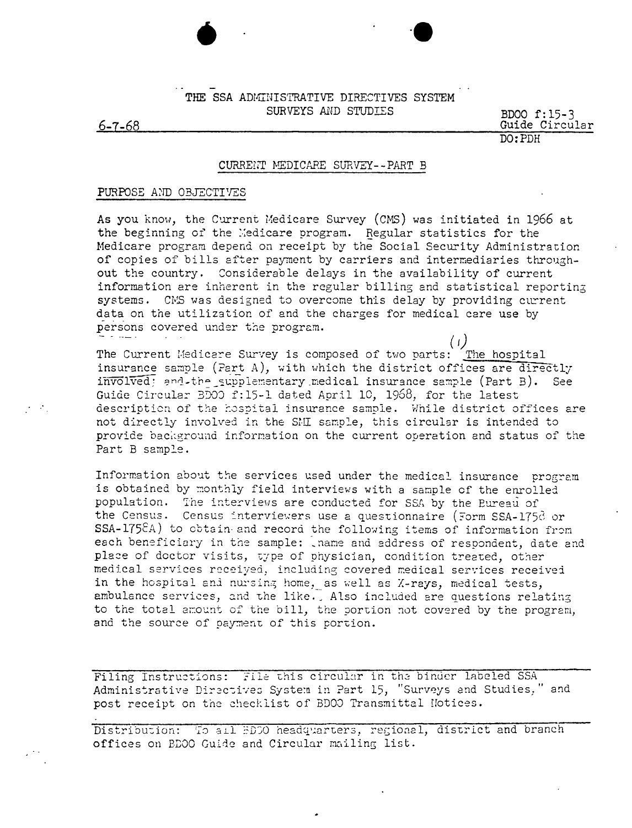## THE SSA ADMINISTRATIVE DIRECTIVES SYSTEM SURVEYS AND STUDIES

 $6 - 7 - 68$ 

 $\mathcal{L}^{\text{max}}$ 

BD00 f:15-3 Guide Circular  $DO:PDH$ 

## CURRENT MEDICARE SURVEY--PART B

## PURPOSE AND OBJECTIVES

As you know, the Current Medicare Survey (CMS) was initiated in 1966 at the beginning of the Medicare program. Regular statistics for the Medicare program depend on receipt by the Social Security Administration of copies of bills after payment by carriers and intermediaries throughout the country. Considerable delays in the availability of current information are inherent in the regular billing and statistical reporting systems. CMS was designed to overcome this delay by providing current data on the utilization of and the charges for medical care use by persons covered under the program.

 $(1)$ The Current Medicare Survey is composed of two parts: The hospital insurance sample (Part A), with which the district offices are directly involved: and the supplementary medical insurance sample (Part B). See Guide Circular BD00 f:15-1 dated April 10, 1968, for the latest description of the hospital insurance sample. While district offices are not directly involved in the SMI sample, this circular is intended to provide background information on the current operation and status of the Part B sample.

Information about the services used under the medical insurance program is obtained by monthly field interviews with a sample of the enrolled population. The interviews are conducted for SSA by the Eureau of the Census. Census interviewers use a questionnaire (Form SSA-175d or SSA-1758A) to obtain and record the following items of information from each beneficiary in the sample: iname and address of respondent, date and place of doctor visits, type of physician, condition treated, other medical services received, including covered medical services received in the hospital and nursing home, as well as X-rays, medical tests, ambulance services, and the like. Also included are questions relating to the total amount of the bill, the portion not covered by the program, and the source of payment of this portion.

Filing Instructions: File this circular in the binder labeled SSA Administrative Directives System in Part 15, "Surveys and Studies," and post receipt on the checklist of BD00 Transmittal Notices.

Distribution: To all BDO headquarters, regional, district and branch offices on BDOO Guide and Circular mailing list.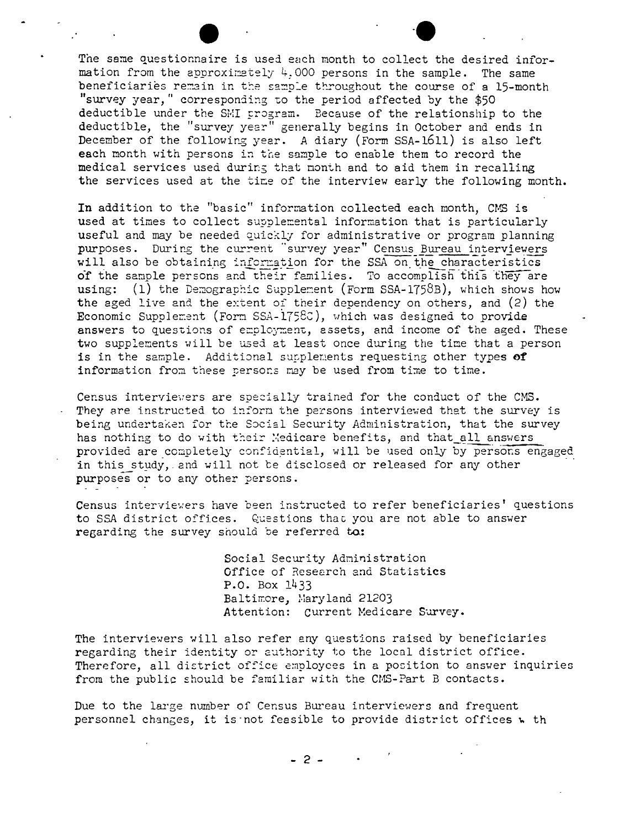The same questionnaire is used each month to collect the desired information from the approximately  $4,000$  persons in the sample. The same beneficiaries remain in the sample throughout the course of a 15-month "survey year," corresponding to the period affected by the \$50 deductible under the SMI program. Because of the relationship to the deductible, the "survey year" generally begins in October and ends in deductivity, the survey year generatiy begins in occoder and ends in each month with persons in the sample to enable them to record the medical services used during that month and to aid them in recalling the services used at the time of the interview early the following month.

**-e**

In addition to the "basic" information collected each month, CMS is used at times to collect supplemental information that is particularly useful and may be needed quickly for administrative or program planning purposes. During the current "survey year" Census Bureau interviewers will also be obtaining information for the SSA on the characteristics of the sample persons and their families. To accomplish this they are using: (1) the Demographic Supplement (Form SSA-1758B), which shows how the aged live and the extent of their dependency on others, and  $(2)$  the Economic Supplement (Form SSA- $1758C$ ), which was designed to provide answers to questions of employment, assets, and income of the aged. These two supplements will be used at least once during the time that a person is in the sample. Additional supplements requesting other types of information from these persons may be used from time to time.

Census interviewers are specially trained for the conduct of the CMS. They are instructed to inform the persons interviewed that the survey is being undertaken for the Social Security Administration, that the survey has nothing to do with their *Medicare benefits*, and that all answers provided are completely confidential, will be used only by persons engaged in this study, and will not be disclosed or released for any other purposes or to any other persons.

Census interviewers have been instructed to refer beneficiaries' questions to SSA district offices. Questions that you are not able to answer regarding the survey should be referred to:

> Social Security Adninistration Office of Research and Statistics P.O. Box 1433 Baltimore, Maryland 21203 Attention: Current Medicare Survey.

The interviewers will also refer eny questions raised by beneficiaries regarding their identity or authority to the local district office. Therefore, all district office employees in a position to answer inquiries from the public should be familiar with the CMS-Part B contacts.

Due to the large number of Census Bureau interviewers and frequent personnel changes, it is not feasible to provide district offices w th

- 2 -